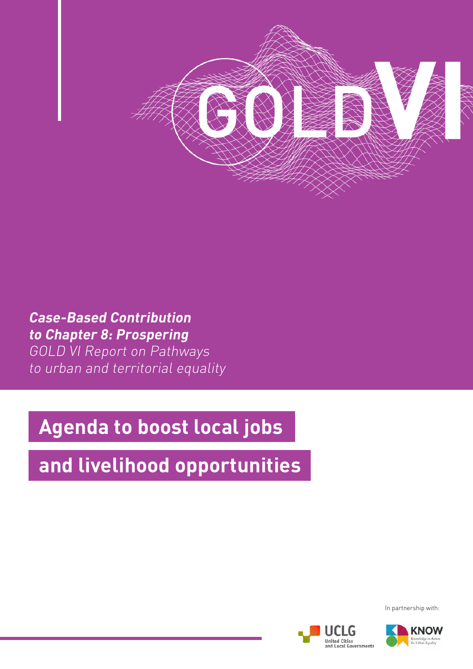

## **Case-Based Contribution to Chapter 8: Prospering**

GOLD VI Report on Pathways to urban and territorial equality

# **Agenda to boost local jobs**

# **and livelihood opportunities**

In partnership with:



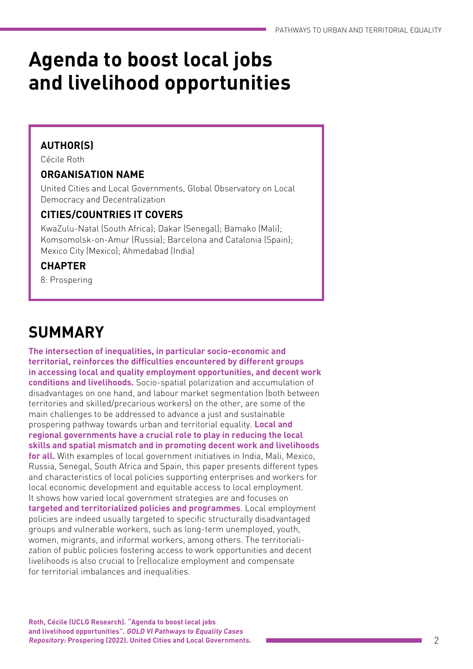# **Agenda to boost local jobs and livelihood opportunities**

### **AUTHOR(S)**

Cécile Roth

### **ORGANISATION NAME**

United Cities and Local Governments, Global Observatory on Local Democracy and Decentralization

### **CITIES/COUNTRIES IT COVERS**

KwaZulu-Natal (South Africa); Dakar (Senegal); Bamako (Mali); Komsomolsk-on-Amur (Russia); Barcelona and Catalonia (Spain); Mexico City (Mexico); Ahmedabad (India)

### **CHAPTER**

8: Prospering

# **SUMMARY**

**The intersection of inequalities, in particular socio-economic and territorial, reinforces the difficulties encountered by different groups in accessing local and quality employment opportunities, and decent work conditions and livelihoods.** Socio-spatial polarization and accumulation of disadvantages on one hand, and labour market segmentation (both between territories and skilled/precarious workers) on the other, are some of the main challenges to be addressed to advance a just and sustainable prospering pathway towards urban and territorial equality. **Local and regional governments have a crucial role to play in reducing the local skills and spatial mismatch and in promoting decent work and livelihoods for all.** With examples of local government initiatives in India, Mali, Mexico, Russia, Senegal, South Africa and Spain, this paper presents different types and characteristics of local policies supporting enterprises and workers for local economic development and equitable access to local employment. It shows how varied local government strategies are and focuses on **targeted and territorialized policies and programmes**. Local employment policies are indeed usually targeted to specific structurally disadvantaged groups and vulnerable workers, such as long-term unemployed, youth, women, migrants, and informal workers, among others. The territorialization of public policies fostering access to work opportunities and decent livelihoods is also crucial to (re)localize employment and compensate for territorial imbalances and inequalities.

**Roth, Cécile (UCLG Research). "Agenda to boost local jobs and livelihood opportunities". GOLD VI Pathways to Equality Cases Repository: Prospering (2022). United Cities and Local Governments.**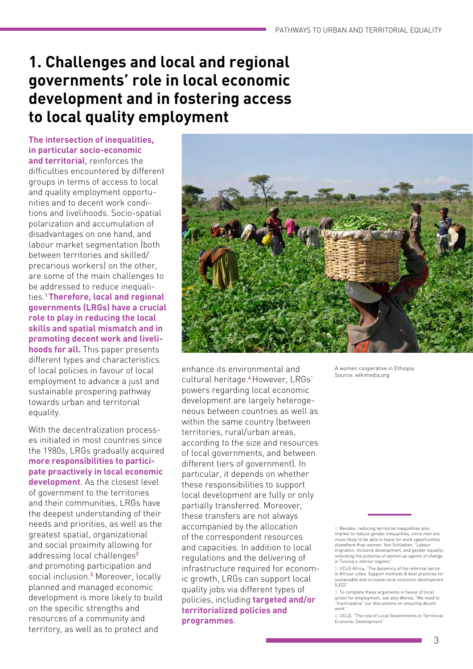## **1. Challenges and local and regional governments' role in local economic development and in fostering access to local quality employment**

**The intersection of inequalities, in particular socio-economic and territorial**, reinforces the difficulties encountered by different groups in terms of access to local and quality employment opportunities and to decent work conditions and livelihoods. Socio-spatial polarization and accumulation of disadvantages on one hand, and labour market segmentation (both between territories and skilled/ precarious workers) on the other, are some of the main challenges to be addressed to reduce inequalities.**1 Therefore, local and regional governments (LRGs) have a crucial role to play in reducing the local skills and spatial mismatch and in promoting decent work and livelihoods for all.** This paper presents different types and characteristics of local policies in favour of local employment to advance a just and sustainable prospering pathway towards urban and territorial equality.

With the decentralization processes initiated in most countries since the 1980s, LRGs gradually acquired **more responsibilities to participate proactively in local economic development**. As the closest level of government to the territories and their communities, LRGs have the deepest understanding of their needs and priorities, as well as the greatest spatial, organizational and social proximity allowing for addressing local challenges**<sup>2</sup>** and promoting participation and social inclusion.**<sup>3</sup>** Moreover, locally planned and managed economic development is more likely to build on the specific strengths and resources of a community and territory, as well as to protect and



enhance its environmental and cultural heritage.**<sup>4</sup>**However, LRGs' powers regarding local economic development are largely heterogeneous between countries as well as within the same country (between territories, rural/urban areas, according to the size and resources of local governments, and between different tiers of government). In particular, it depends on whether these responsibilities to support local development are fully or only partially transferred. Moreover, these transfers are not always accompanied by the allocation of the correspondent resources and capacities. In addition to local regulations and the delivering of infrastructure required for economic growth, LRGs can support local quality jobs via different types of policies, including **targeted and/or territorialized policies and programmes**.

A women cooperative in Ethiopia Source: wikimedia.org

1. Besides, reducing territorial inequalities also implies to reduce gender inequalities, since men are more likely to be able to leave for work opportunities elsewhere than women. Von Schlieben, "Labour migration, inclusive development, and gender equality: unlocking the potential of women as agents of change in Tunisia's interior regions"

4. UCLG, "The role of Local Governments in Territorial Economic Development

[<sup>2.</sup> U](https://undocs.org/en/A/HRC/35/26)CLG Africa, "The dynamics of the informal sector in African cities: Support methods & best practices for sustainable and inclusive local economic development (LED)"

<sup>3.</sup> To complete these arguments in favour of local action for employment, see also Werna, "We need to "municipalize" our discussions on ensuring decent work"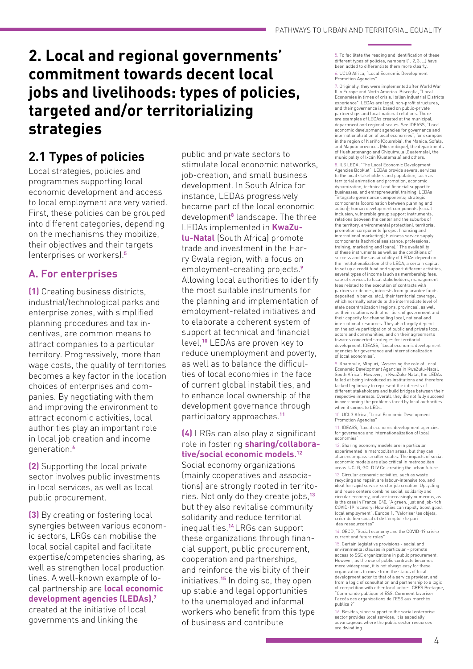## **2. Local and regional governments' commitment towards decent local jobs and livelihoods: types of policies, targeted and/or territorializing strategies**

### **2.1 Types of policies**

Local strategies, policies and programmes supporting local economic development and access to local employment are very varied. First, these policies can be grouped into different categories, depending on the mechanisms they mobilize, their objectives and their targets (enterprises or workers).**<sup>5</sup>**

### **A. For enterprises**

**(1)** Creating business districts, industrial/technological parks and enterprise zones, with simplified planning procedures and tax incentives, are common means to attract companies to a particular territory. Progressively, more than wage costs, the quality of territories becomes a key factor in the location choices of enterprises and companies. By negotiating with them and improving the environment to attract economic activities, local authorities play an important role in local job creation and income generation.**<sup>6</sup>**

**(2)** Supporting the local private sector involves public investments in local services, as well as local public procurement.

**(3)** By creating or fostering local synergies between various economic sectors, LRGs can mobilise the local social capital and facilitate expertise/competencies sharing, as well as strengthen local production lines. A well-known example of local partnership are **local economic development agencies (LEDAs)**, **7** created at the initiative of local governments and linking the

public and private sectors to stimulate local economic networks, job-creation, and small business development. In South Africa for instance, LEDAs progressively became part of the local economic development**<sup>8</sup>** landscape. The three LEDAs implemented in **KwaZulu-Natal** (South Africa) promote trade and investment in the Harry Gwala region, with a focus on employment-creating projects.**<sup>9</sup>** Allowing local authorities to identify the most suitable instruments for the planning and implementation of employment-related initiatives and to elaborate a coherent system of support at technical and financial level,**<sup>10</sup>** LEDAs are proven key to reduce unemployment and poverty, as well as to balance the difficulties of local economies in the face of current global instabilities, and to enhance local ownership of the development governance through participatory approaches.**<sup>11</sup>**

#### **(4)** LRGs can also play a significant role in fostering **sharing/collaborative/social economic models.12**

Social economy organizations (mainly cooperatives and associations) are strongly rooted in territories. Not only do they create jobs,**<sup>13</sup>** but they also revitalise community solidarity and reduce territorial inequalities.**<sup>14</sup>**LRGs can support these organizations through financial support, public procurement, cooperation and partnerships, and reinforce the visibility of their initiatives.**<sup>15</sup>** In doing so, they open up stable and legal opportunities to the unemployed and informal workers who benefit from this type of business and contribute

5. To facilitate the reading and identification of these different types of policies, numbers (1, 2, 3, 1) have been added to differentiate them more clearly. [6.](https://undocs.org/en/A/HRC/35/26) UCLG Africa, "Local Economic Development Promotion Agencies"

7. Originally, they were implemented after World War II in Europe and North America. Bisceglia, "Local Economies in times of crisis: Italian Industrial Districts experience". LEDAs are legal, non-profit structures, and their governance is based on public-private partnerships and local-national relations. There are examples of LEDAs created at the municipal, department and regional scales. See IDEASS, "Local economic development agencies for governance and internationalization of local economies", for examples in the region of Nariño (Colombia), the Manica, Sofala, and Maputo provinces (Mozambique), the departments of Huehuetenango and Chiquimula (Guatemala), the municipality of Ixcán (Guatemala) and others.

8. ILS LEDA, "The Local Economic Development Agencies Booklet". LEDAs provide several services to the local stakeholders and population, such as territorial animation and promotion, economic dynamization, technical and financial support to businesses, and entrepreneurial training. LEDAs "integrate governance components; strategic components (coordination between planning and action); human development components (social inclusion, vulnerable group support instruments, relations between the center and the suburbs of the territory, environmental protection); territorial promotion components (project financing and nternational marketing); business service supply components (technical assistance, professional training, marketing and loans)." The availability of these instruments as well as the conditions of success and the sustainability of LEDAs depend on the institutionalization of the LEDA, a certain capital to set up a credit fund and support different activities, several types of income (such as membership fees, sale of services to local stakeholders, management fees related to the execution of contracts with partners or donors, interests from guarantee funds deposited in banks, etc.), their territorial coverage, which normally extends to the intermediate level of state decentralization (regions, provinces), as well as their relations with other tiers of government and their capacity for channelling local, national and international resources. They also largely depend on the active participation of public and private local actors and communities, and on their agreements towards concerted strategies for territorial development. IDEASS, "Local economic development agencies for governance and internationalization of local economies".

9. Khambule, Mtapuri, "Assessing the role of Local Economic Development Agencies in KwaZulu-Natal, South Africa". However, in KwaZulu-Natal, the LEDAs failed at being introduced as institutions and therefore lacked legitimacy to represent the interests of different stakeholders and build bridges between their respective interests. Overall, they did not fully succeed in overcoming the problems faced by local authorities when it comes to LEDs.

10. UCLG Africa, "Local Economic Development Promotion Agencies"

11. IDEASS, "Local economic development agencies for governance and internationalization of local economies"

12. Sharing economy models are in particula experimented in metropolitan areas, but they can also encompass smaller scales. The impacts of social economic models are also critical in metropolitan areas. UCLG, GOLD IV Co-creating the urban futur[e](https://undocs.org/en/A/HRC/35/26)

[13.](https://undocs.org/en/A/HRC/35/26) Circular economic activities, such as waste recycling and repair, are labour-intensive too, and ideal for rapid service-sector job creation. Upcycling and reuse centers combine social, solidarity and circular economy, and are increasingly numerous, as is the case in France. C40, "A green, just and job-rich COVID-19 recovery: How cities can rapidly boost good, local employment"; Europe 1, "Valoriser les objets, créer du lien social et de l'emploi : le pari des ressourceries"

14. OECD, "Social economy and the COVID-19 crisis: current and future roles"

15. Certain legislative provisions - social and environmental clauses in particular - promote access to SSE organizations in public procurement. However, as the use of public contracts becomes more widespread, it is not always easy for these organizations to move from the status of local development actor to that of a service provider, and from a logic of consultation and partnership to a logic of competition with other local actors. CRES Bretagne, "Commande publique et ESS. Comment favoriser l'accès des organisations de l'ESS aux marchés publics ?"

16. Besides, since support to the social enterprise sector provides local services, it is especially advantageous where the public sector resources are dwindling.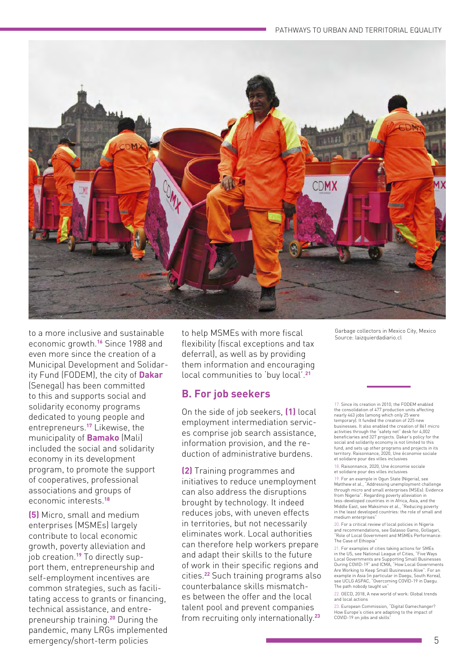

to a more inclusive and sustainable economic growth.**<sup>16</sup>**Since 1988 and even more since the creation of a Municipal Development and Solidarity Fund (FODEM), the city of **Dakar** (Senegal) has been committed to this and supports social and solidarity economy programs dedicated to young people and entrepreneurs.**<sup>17</sup>** Likewise, the municipality of **Bamako** (Mali) included the social and solidarity economy in its development program, to promote the support of cooperatives, professional associations and groups of economic interests.**<sup>18</sup>**

**(5)** Micro, small and medium enterprises (MSMEs) largely contribute to local economic growth, poverty alleviation and job creation.**19** To directly support them, entrepreneurship and self-employment incentives are common strategies, such as facilitating access to grants or financing, technical assistance, and entrepreneurship training.**<sup>20</sup>** During the pandemic, many LRGs implemented emergency/short-term policies

to help MSMEs with more fiscal flexibility (fiscal exceptions and tax deferral), as well as by providing them information and encouraging local communities to 'buy local'.**<sup>21</sup>**

### **B. For job seekers**

On the side of job seekers, **(1)** local employment intermediation services comprise job search assistance, information provision, and the reduction of administrative burdens.

**(2)** Training programmes and initiatives to reduce unemployment can also address the disruptions brought by technology. It indeed reduces jobs, with uneven effects in territories, but not necessarily eliminates work. Local authorities can therefore help workers prepare and adapt their skills to the future of work in their specific regions and cities.**<sup>22</sup>** Such training programs also counterbalance skills mismatches between the offer and the local talent pool and prevent companies from recruiting only internationally.**<sup>23</sup>**

Garbage collectors in Mexico City, Mexico Source: laizquierdadiario.cl

17. Since its creation in 2010, the FODEM enabled the consolidation of 477 production units affecting nearly 463 jobs (among which only 25 were temporary). It funded the creation of 225 new businesses. It also enabled the creation of 861 micro activities through the "safety net" desk for 4,002 beneficiaries and 327 projects. Dakar's policy for the social and solidarity economy is not limited to this fund, and sets up other programs and projects in its territory. Raisonnance, 2020, Une économie sociale et solidaire pour des villes inclusive[s](https://undocs.org/en/A/HRC/35/26)

[18. R](https://undocs.org/en/A/HRC/35/26)aisonnance, 2020, Une économie sociale et solidaire pour des villes inclusives

19. For an example in Ogun State (Nigeria), see Matthew et al., "Addressing unemployment challenge through micro and small enterprises (MSEs): Evidence from Nigeria". Regarding poverty alleviation in less-developed countries in in Africa, Asia, and the Middle East, see Maksimov et al., "Reducing poverty in the least developed countries: the role of small and medium enterprises"

20. For a critical review of local policies in Nigeria and recommendations, see Galasso Gamo, Gollagari, "Role of Local Government and MSMEs Performance: The Case of Ethiopia"

21. For examples of cities taking actions for SMEs in the US, see National League of Cities, "Five Ways Local Governments are Supporting Small Businesses During COVID-19" and ICMA, "How Local Governments Are Working to Keep Small Businesses Alive". For an example in Asia (in particular in Daegu, South Korea), see UCLG ASPAC, "Overcoming COVID-19 in Daegu. The path nobody taught us"

22. OECD, 2018, A new world of work: Global trends and local actions

23. European Commission, "Digital Gamechanger? How Europe's cities are adapting to the impact of COVID-19 on jobs and skills"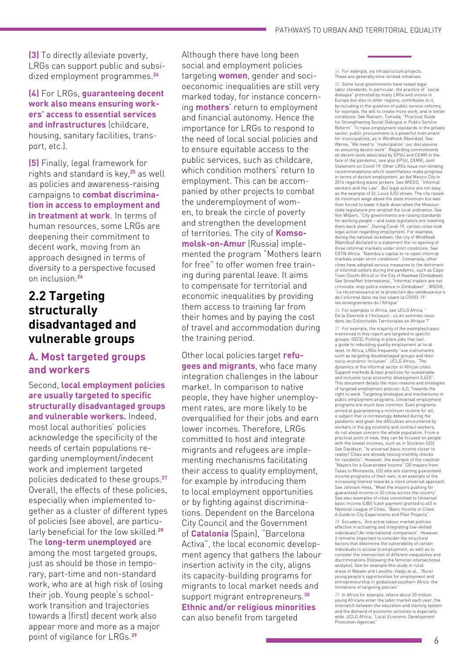**(3)** To directly alleviate poverty, LRGs can support public and subsidized employment programmes.**<sup>24</sup>**

**(4)** For LRGs, **guaranteeing decent work also means ensuring workers' access to essential services and infrastructures** (childcare, housing, sanitary facilities, transport, etc.).

**(5)** Finally, legal framework for rights and standard is key,**<sup>25</sup>** as well as policies and awareness-raising campaigns to **combat discrimination in access to employment and in treatment at work**. In terms of human resources, some LRGs are deepening their commitment to decent work, moving from an approach designed in terms of diversity to a perspective focused on inclusion.**<sup>26</sup>**

### **2.2 Targeting structurally disadvantaged and vulnerable groups**

### **A. Most targeted groups and workers**

Second, **local employment policies are usually targeted to specific structurally disadvantaged groups and vulnerable workers.** Indeed, most local authorities' policies acknowledge the specificity of the needs of certain populations regarding unemployment/indecent work and implement targeted policies dedicated to these groups.**<sup>27</sup>** Overall, the effects of these policies, especially when implemented together as a cluster of different types of policies (see above), are particularly beneficial for the low skilled.**<sup>28</sup>** The **long-term unemployed** are among the most targeted groups, just as should be those in temporary, part-time and non-standard work, who are at high risk of losing their job. Young people's schoolwork transition and trajectories towards a (first) decent work also appear more and more as a major point of vigilance for LRGs.**<sup>29</sup>**

Although there have long been social and employment policies targeting **women**, gender and socioeconomic inequalities are still very marked today, for instance concerning **mothers**' return to employment and financial autonomy. Hence the importance for LRGs to respond to the need of local social policies and to ensure equitable access to the public services, such as childcare, which condition mothers' return to employment. This can be accompanied by other projects to combat the underemployment of women, to break the circle of poverty and strengthen the development of territories. The city of **Komsomolsk-on-Amur** (Russia) implemented the program "Mothers learn for free" to offer women free training during parental leave. It aims to compensate for territorial and economic inequalities by providing them access to training far from their homes and by paying the cost of travel and accommodation during the training period.

Other local policies target **refugees and migrants**, who face many integration challenges in the labour market. In comparison to native people, they have higher unemployment rates, are more likely to be overqualified for their jobs and earn lower incomes. Therefore, LRGs committed to host and integrate migrants and refugees are implementing mechanisms facilitating their access to quality employment, for example by introducing them to local employment opportunities or by fighting against discriminations. Dependent on the Barcelona City Council and the Government of **Catalonia** (Spain), "Barcelona Activa", the local economic development agency that gathers the labour insertion activity in the city, aligns its capacity-building programs for migrants to local market needs and support migrant entrepreneurs.**<sup>30</sup> Ethnic and/or religious minorities** can also benefit from targeted

24. For example, via infrastructure projects. These are generally time-limited initiatives.

25. Some local governments have raised legal labor standards. In particular, the practice of "social dialogue" promoted by many LRGs and unions in Europe but also in other regions, contributes to it, by including in the question of public service reforms, for example, the will to create more work, and in better conditions. See Ratnam, Tomoda, "Practical Guide for Strengthening Social Dialogue in Public Service Reform". To raise employment standards in the private sector, public procurement is a powerful instrument for municipalities, as in Windhoek (Namibia). See Werna, "We need to "municipalize" our discussions<br>on ensuring decent work". Regarding commitments<br>on decent work advocated by EPSU and CEMR in the<br>face of the pandemic, see also EPSU, CEMR, Joint Statement on Covid-19. Other LRGs issue non-binding recommendations which nevertheless make progress in terms of decent employment, as did Mexico City in 2016 regarding waste pickers. See WIEGO, "Informal workers and the Law". But legal actions are not easy, as the example of St. Louis (US) shows. The city raised its minimum wage above the state minimum but was then forced to lower it back down when the Missouri state legislature pre-empted the local ordinance. See Von Wilpert, "City governments are raising standards for working people – and state legislators are lowering them back down". During Covid-19, certain cities took legal action regarding employment. For example, during the national lockdown, the city of Windhoek (Namibia) declared in a statement the re-opening of three informal markets under strict conditions. See CGTN Africa, "Namibia's capital to re-open informal markets under strict conditions". Conversely, other cities have adopted various measures to the detriment of informal sellers during the pandemic, such as Cape Town (South Africa) or the City of Kwekwe (Zimbabwe). See StreetNet International, "Informal traders are not criminals: stop police violence in Zimbabwe!" ; WIEGO, "La reconnaissance et la protection des vendeuse·eur·s de l'informel dans les lois visant la COVID-19 : les enseignements de l'Afrique"

26. For examples in Africa, see UCLG Africa, De la Diversité à l'Inclusion : où en sommes-nous dans les Collectivités Territoriales en Afrique ?"

27. For example, the majority of the examples/cases mentioned in this report are targeted to specific groups: OECD, Putting in place jobs that last: a guide to rebuilding quality employment at local level. In Africa, LRGs frequently "use instruments such as targeting disadvantaged groups and their socio-economic inclusion". UCLG Africa, "The dynamics of the informal sector in African cities: Support methods & best practices for sustainable and inclusive local economic development (LED)". This document details the main reasons and strategies of targeted employment policies: ILO, Towards the right to work. Targeting strategies and mechanisms in public employment programs. Universal employment programs are much less common. Even programs aimed at guaranteeing a minimum income for all, a subject that is increasingly debated during the pandemic and given the difficulties encountered by workers in the gig economy and contract workers, do not always concern the whole population. From a practical point of view, they can be focused on people with the lowest incomes, such as in Stockton (US). See Davidson, "Is universal basic income closer to reality? Cities are already testing monthly checks for residents". However, the example of the coalition "Mayors for a Guaranteed Income" (30 mayors from Texas to Minnesota, US) who are starting guaranteed income programs of their own, is an example of the increasing interest towards a more universal approach. See Johnson Hess, "Meet the mayors pushing for guaranteed income in 30 cities across the country". See also examples of cities committed to Universal basic income (UBI) (cash payment granted to all) in National League of Cities, "Basic Income in Cities: A Guide to City Experiments and Pilot Projects".

28. Escudero, "Are active labour market policies effective in activating and integrating low-skilled individuals? An international comparison". However, it remains important to consider the structural factors that determine the vulnerability of certain individuals to access to employment, as well as to consider the intersection of different inequalities and discriminations (following the feminist intersectional analysis). See for example this study in rural areas of Malawi and Lesotho: Hadju et al., "Rural young people's opportunities for employment and entrepreneurship in globalised southern Africa: the limitations of targeting policies"

29. In Africa for example, where about 30 million young Africans enter the labor market each year, the mismatch between the education and training system and the demand of economic activities is especially wide. UCLG Africa, "Local Economic Development Promotion Agencies"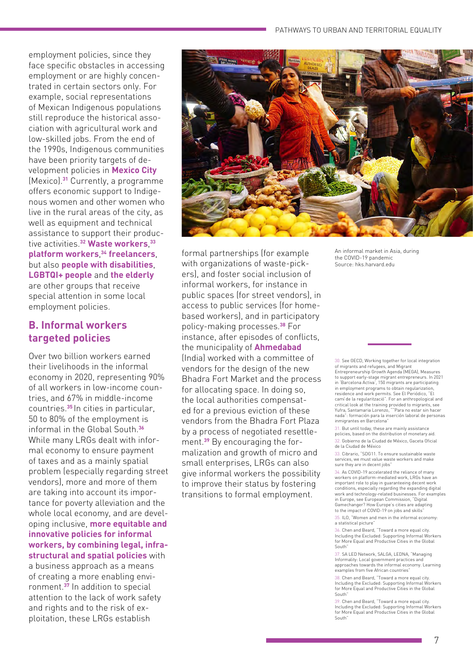employment policies, since they face specific obstacles in accessing employment or are highly concentrated in certain sectors only. For example, social representations of Mexican Indigenous populations still reproduce the historical association with agricultural work and low-skilled jobs. From the end of the 1990s, Indigenous communities have been priority targets of development policies in **Mexico City** (Mexico).**<sup>31</sup>** Currently, a programme offers economic support to Indigenous women and other women who live in the rural areas of the city, as well as equipment and technical assistance to support their productive activities.**<sup>32</sup> Waste workers**, **33 platform workers**, **<sup>34</sup> freelancers**, but also **people with disabilities**, **LGBTQI+ people** and **the elderly** are other groups that receive special attention in some local employment policies.

### **B. Informal workers targeted policies**

Over two billion workers earned their livelihoods in the informal economy in 2020, representing 90% of all workers in low-income countries, and 67% in middle-income countries.**<sup>35</sup>**In cities in particular, 50 to 80% of the employment is informal in the Global South.**<sup>36</sup>** While many LRGs dealt with informal economy to ensure payment of taxes and as a mainly spatial problem (especially regarding street vendors), more and more of them are taking into account its importance for poverty alleviation and the whole local economy, and are developing inclusive, **more equitable and innovative policies for informal workers, by combining legal, infrastructural and spatial policies** with a business approach as a means of creating a more enabling environment.**<sup>37</sup>** In addition to special attention to the lack of work safety and rights and to the risk of exploitation, these LRGs establish



formal partnerships (for example with organizations of waste-pickers), and foster social inclusion of informal workers, for instance in public spaces (for street vendors), in access to public services (for homebased workers), and in participatory policy-making processes.**<sup>38</sup>** For instance, after episodes of conflicts, the municipality of **Ahmedabad**  (India) worked with a committee of vendors for the design of the new Bhadra Fort Market and the process for allocating space. In doing so, the local authorities compensated for a previous eviction of these vendors from the Bhadra Fort Plaza by a process of negotiated resettlement.**39** By encouraging the formalization and growth of micro and small enterprises, LRGs can also give informal workers the possibility to improve their status by fostering transitions to formal employment.

An informal market in Asia, during the COVID-19 pandemic Source: hks.harvard.edu

30. See OECD, Working together for local integration

of migrants and refugees, and Migrant Entrepreneurship Growth Agenda (MEGA), Measures to support early-stage migrant entrepreneurs. In 2021 in 'Barcelona Activa', 150 migrants are participating in employment programs to obtain regularization, residence and work permits. See El Periódico, "El camí de la regularització". For an anthropological and critical look at the training provided to migrants, see Yufra, Santamaria Lorenzo, ""Para no estar sin hacer nada": formación para la inserción laboral de personas inmigrantes en Barcelona"

31. But until today, these are mainly assistance policies, based on the distribution of monetary aid. 32. Gobierno de la Ciudad de México, Gaceta Oficial

de la Ciudad de México

33. Cibrario, "SDG11. To ensure sustainable waste services, we must value waste workers and make sure they are in decent jobs"

34. As COVID-19 accelerated the reliance of many workers on platform-mediated work, LRGs have an important role to play in guaranteeing decent work conditions, especially regarding the expanding digital work and technology-related businesses. For examples in Europe, see European Commission, "Digital Gamechanger? How Europe's cities are adapting to the impact of COVID-19 on jobs and skills<sup>"</sup>

35. ILO, "Women and men in the informal economy: a statistical picture"

36. Chen and Beard, "Toward a more equal city. Including the Excluded: Supporting Informal Workers for More Equal and Productive Cities in the Global South"

37. SA LED Network, SALGA, LEDNA, "Managing Informality: Local government practices and approaches towards the informal economy. Learning examples from five African countries"

38. Chen and Beard, "Toward a more equal city. Including the Excluded: Supporting Informal Workers for More Equal and Productive Cities in the Global South"

39. Chen and Beard, "Toward a more equal city. Including the Excluded: Supporting Informal Workers for More Equal and Productive Cities in the Global South"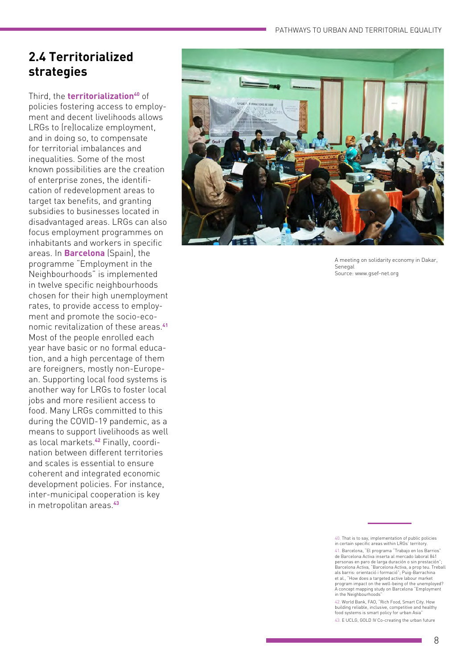### **2.4 Territorialized strategies**

Third, the **territorialization<sup>40</sup>** of policies fostering access to employ ment and decent livelihoods allows LRGs to (re)localize employment, and in doing so, to compensate for territorial imbalances and inequalities. Some of the most known possibilities are the creation of enterprise zones, the identifi cation of redevelopment areas to target tax benefits, and granting subsidies to businesses located in disadvantaged areas. LRGs can also focus employment programmes on inhabitants and workers in specific areas. In **Barcelona** (Spain), the programme "Employment in the Neighbourhoods" is implemented in twelve specific neighbourhoods chosen for their high unemployment rates, to provide access to employ ment and promote the socio-eco nomic revitalization of these areas.**<sup>41</sup>** Most of the people enrolled each year have basic or no formal educa tion, and a high percentage of them are foreigners, mostly non-Europe an. Supporting local food systems is another way for LRGs to foster local jobs and more resilient access to food. Many LRGs committed to this during the COVID-19 pandemic, as a means to support livelihoods as well as local markets.**<sup>42</sup>** Finally, coordi nation between different territories and scales is essential to ensure coherent and integrated economic development policies. For instance, inter-municipal cooperation is key in metropolitan areas.**<sup>43</sup>**



A meeting on solidarity economy in Dakar, Senegal Source: www.gsef-net.org

42. World Bank, FAO, "Rich Food, Smart City. How building reliable, inclusive, competitive and healthy food systems is smart policy for urban Asia" 43. E UCLG, GOLD IV Co-creating the urban future

<sup>40.</sup> That is to say, implementation of public policies in certain specific areas within LRGs' territory. 41. Barcelona, "El programa "Trabajo en los Barrios" de Barcelona Activa inserta al mercado laboral 841 personas en paro de larga duración o sin prestación"; Barcelona Activa, "Barcelona Activa, a prop teu. Treball als barris: orientació i formació"; Puig-Barrachina et al., "How does a targeted active labour market program impact on the well-being of the unemployed? A concept mapping study on Barcelona "Employment in the Neighbourhoods"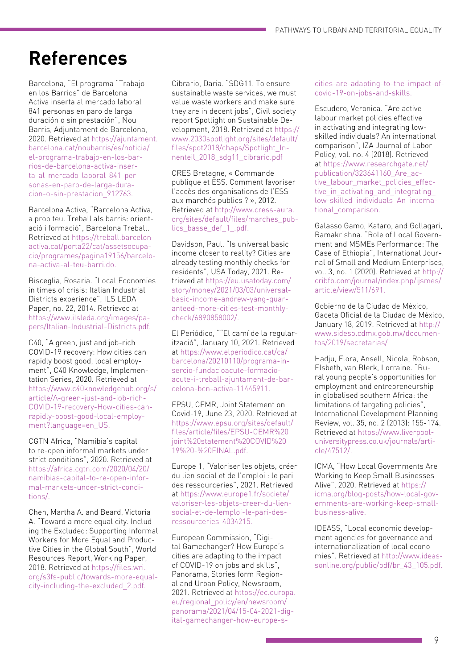# **References**

Barcelona, "El programa "Trabajo en los Barrios" de Barcelona Activa inserta al mercado laboral 841 personas en paro de larga duración o sin prestación", Nou Barris, Adjuntament de Barcelona, 2020. Retrieved at [https://ajuntament.](https://ajuntament.barcelona.cat/noubarris/es/noticia/el-programa-trabajo-en-los-barrios-de-barcelona-activa-inserta-al-mercado-laboral-841-personas-en-paro-de-larga-duracion-o-sin-prestacion_912763) [barcelona.cat/noubarris/es/noticia/](https://ajuntament.barcelona.cat/noubarris/es/noticia/el-programa-trabajo-en-los-barrios-de-barcelona-activa-inserta-al-mercado-laboral-841-personas-en-paro-de-larga-duracion-o-sin-prestacion_912763) [el-programa-trabajo-en-los-bar](https://ajuntament.barcelona.cat/noubarris/es/noticia/el-programa-trabajo-en-los-barrios-de-barcelona-activa-inserta-al-mercado-laboral-841-personas-en-paro-de-larga-duracion-o-sin-prestacion_912763)[rios-de-barcelona-activa-inser](https://ajuntament.barcelona.cat/noubarris/es/noticia/el-programa-trabajo-en-los-barrios-de-barcelona-activa-inserta-al-mercado-laboral-841-personas-en-paro-de-larga-duracion-o-sin-prestacion_912763)[ta-al-mercado-laboral-841-per](https://ajuntament.barcelona.cat/noubarris/es/noticia/el-programa-trabajo-en-los-barrios-de-barcelona-activa-inserta-al-mercado-laboral-841-personas-en-paro-de-larga-duracion-o-sin-prestacion_912763)[sonas-en-paro-de-larga-dura](https://ajuntament.barcelona.cat/noubarris/es/noticia/el-programa-trabajo-en-los-barrios-de-barcelona-activa-inserta-al-mercado-laboral-841-personas-en-paro-de-larga-duracion-o-sin-prestacion_912763)[cion-o-sin-prestacion\\_912763.](https://ajuntament.barcelona.cat/noubarris/es/noticia/el-programa-trabajo-en-los-barrios-de-barcelona-activa-inserta-al-mercado-laboral-841-personas-en-paro-de-larga-duracion-o-sin-prestacion_912763) 

Barcelona Activa, "Barcelona Activa, a prop teu. Treball als barris: orientació i formació", Barcelona Treball. Retrieved at [https://treball.barcelon](https://treball.barcelonactiva.cat/porta22/cat/assetsocupacio/programes/pagina19156/barcelona-activa-al-teu-barri.do)[activa.cat/porta22/cat/assetsocupa](https://treball.barcelonactiva.cat/porta22/cat/assetsocupacio/programes/pagina19156/barcelona-activa-al-teu-barri.do)[cio/programes/pagina19156/barcelo](https://treball.barcelonactiva.cat/porta22/cat/assetsocupacio/programes/pagina19156/barcelona-activa-al-teu-barri.do)[na-activa-al-teu-barri.do.](https://treball.barcelonactiva.cat/porta22/cat/assetsocupacio/programes/pagina19156/barcelona-activa-al-teu-barri.do)

Bisceglia, Rosaria. "Local Economies in times of crisis: Italian Industrial Districts experience", ILS LEDA Paper, no. 22, 2014. Retrieved at [https://www.ilsleda.org/images/pa](https://www.ilsleda.org/images/papers/Italian-Industrial-Districts.pdf)[pers/Italian-Industrial-Districts.pdf.](https://www.ilsleda.org/images/papers/Italian-Industrial-Districts.pdf)

C40, "A green, just and job-rich COVID-19 recovery: How cities can rapidly boost good, local employment", C40 Knowledge, Implementation Series, 2020. Retrieved at [https://www.c40knowledgehub.org/s/](https://www.c40knowledgehub.org/s/article/A-green-just-and-job-rich-COVID-19-recovery-How-cities-can-rapidly-boost-good-local-employment?language=en_US) [article/A-green-just-and-job-rich-](https://www.c40knowledgehub.org/s/article/A-green-just-and-job-rich-COVID-19-recovery-How-cities-can-rapidly-boost-good-local-employment?language=en_US)[COVID-19-recovery-How-cities-can](https://www.c40knowledgehub.org/s/article/A-green-just-and-job-rich-COVID-19-recovery-How-cities-can-rapidly-boost-good-local-employment?language=en_US)[rapidly-boost-good-local-employ](https://www.c40knowledgehub.org/s/article/A-green-just-and-job-rich-COVID-19-recovery-How-cities-can-rapidly-boost-good-local-employment?language=en_US)[ment?language=en\\_US.](https://www.c40knowledgehub.org/s/article/A-green-just-and-job-rich-COVID-19-recovery-How-cities-can-rapidly-boost-good-local-employment?language=en_US)

CGTN Africa, "Namibia's capital to re-open informal markets under strict conditions", 2020. Retrieved at [https://africa.cgtn.com/2020/04/20/](https://africa.cgtn.com/2020/04/20/namibias-capital-to-re-open-informal-markets-under-strict-conditions/) [namibias-capital-to-re-open-infor](https://africa.cgtn.com/2020/04/20/namibias-capital-to-re-open-informal-markets-under-strict-conditions/)[mal-markets-under-strict-condi](https://africa.cgtn.com/2020/04/20/namibias-capital-to-re-open-informal-markets-under-strict-conditions/)[tions/.](https://africa.cgtn.com/2020/04/20/namibias-capital-to-re-open-informal-markets-under-strict-conditions/)

Chen, Martha A. and Beard, Victoria A. "Toward a more equal city. Including the Excluded: Supporting Informal Workers for More Equal and Productive Cities in the Global South", World Resources Report, Working Paper, 2018. Retrieved at [https://files.wri.](https://files.wri.org/s3fs-public/towards-more-equal-city-including-the-excluded_2.pdf) [org/s3fs-public/towards-more-equal](https://files.wri.org/s3fs-public/towards-more-equal-city-including-the-excluded_2.pdf)[city-including-the-excluded\\_2.pdf.](https://files.wri.org/s3fs-public/towards-more-equal-city-including-the-excluded_2.pdf)

Cibrario, Daria. "SDG11. To ensure sustainable waste services, we must value waste workers and make sure they are in decent jobs", Civil society report Spotlight on Sustainable Development, 2018. Retrieved at [https://](https://www.2030spotlight.org/sites/default/files/spot2018/chaps/Spotlight_Innenteil_2018_sdg11_cibrario.pdf) [www.2030spotlight.org/sites/default/](https://www.2030spotlight.org/sites/default/files/spot2018/chaps/Spotlight_Innenteil_2018_sdg11_cibrario.pdf) [files/spot2018/chaps/Spotlight\\_In](https://www.2030spotlight.org/sites/default/files/spot2018/chaps/Spotlight_Innenteil_2018_sdg11_cibrario.pdf)[nenteil\\_2018\\_sdg11\\_cibrario.pdf](https://www.2030spotlight.org/sites/default/files/spot2018/chaps/Spotlight_Innenteil_2018_sdg11_cibrario.pdf)

CRES Bretagne, « Commande publique et ESS. Comment favoriser l'accès des organisations de l'ESS aux marchés publics ? », 2012. Retrieved at [http://www.cress-aura.](http://www.cress-aura.org/sites/default/files/marches_publics_basse_def_1_.pdf) [org/sites/default/files/marches\\_pub](http://www.cress-aura.org/sites/default/files/marches_publics_basse_def_1_.pdf)[lics\\_basse\\_def\\_1\\_.pdf.](http://www.cress-aura.org/sites/default/files/marches_publics_basse_def_1_.pdf)

Davidson, Paul. "Is universal basic income closer to reality? Cities are already testing monthly checks for residents", USA Today, 2021. Retrieved at [https://eu.usatoday.com/](https://eu.usatoday.com/story/money/2021/03/03/universal-basic-income-andrew-yang-guaranteed-more-cities-test-monthly-check/6890858002/) [story/money/2021/03/03/universal](https://eu.usatoday.com/story/money/2021/03/03/universal-basic-income-andrew-yang-guaranteed-more-cities-test-monthly-check/6890858002/)[basic-income-andrew-yang-guar](https://eu.usatoday.com/story/money/2021/03/03/universal-basic-income-andrew-yang-guaranteed-more-cities-test-monthly-check/6890858002/)[anteed-more-cities-test-monthly](https://eu.usatoday.com/story/money/2021/03/03/universal-basic-income-andrew-yang-guaranteed-more-cities-test-monthly-check/6890858002/)[check/6890858002/.](https://eu.usatoday.com/story/money/2021/03/03/universal-basic-income-andrew-yang-guaranteed-more-cities-test-monthly-check/6890858002/)

El Periódico, ""El camí de la regularització", January 10, 2021. Retrieved at [https://www.elperiodico.cat/ca/](https://www.elperiodico.cat/ca/barcelona/20210110/programa-insercio-fundacioacute-formacioacute-i-treball-ajuntament-de-barcelona-bcn-activa-11445911) [barcelona/20210110/programa-in](https://www.elperiodico.cat/ca/barcelona/20210110/programa-insercio-fundacioacute-formacioacute-i-treball-ajuntament-de-barcelona-bcn-activa-11445911)[sercio-fundacioacute-formacio](https://www.elperiodico.cat/ca/barcelona/20210110/programa-insercio-fundacioacute-formacioacute-i-treball-ajuntament-de-barcelona-bcn-activa-11445911)[acute-i-treball-ajuntament-de-bar](https://www.elperiodico.cat/ca/barcelona/20210110/programa-insercio-fundacioacute-formacioacute-i-treball-ajuntament-de-barcelona-bcn-activa-11445911)[celona-bcn-activa-11445911.](https://www.elperiodico.cat/ca/barcelona/20210110/programa-insercio-fundacioacute-formacioacute-i-treball-ajuntament-de-barcelona-bcn-activa-11445911)

EPSU, CEMR, Joint Statement on Covid-19, June 23, 2020. Retrieved at [https://www.epsu.org/sites/default/](https://www.epsu.org/sites/default/files/article/files/EPSU-CEMR%20joint%20statement%20COVID%2019%20-%20FINAL.pdf) [files/article/files/EPSU-CEMR%20](https://www.epsu.org/sites/default/files/article/files/EPSU-CEMR%20joint%20statement%20COVID%2019%20-%20FINAL.pdf) [joint%20statement%20COVID%20](https://www.epsu.org/sites/default/files/article/files/EPSU-CEMR%20joint%20statement%20COVID%2019%20-%20FINAL.pdf) [19%20-%20FINAL.pdf.](https://www.epsu.org/sites/default/files/article/files/EPSU-CEMR%20joint%20statement%20COVID%2019%20-%20FINAL.pdf) 

Europe 1, "Valoriser les objets, créer du lien social et de l'emploi : le pari des ressourceries", 2021. Retrieved at [https://www.europe1.fr/societe/](https://www.europe1.fr/societe/valoriser-les-objets-creer-du-lien-social-et-de-lemploi-le-pari-des-ressourceries-4034215) [valoriser-les-objets-creer-du-lien](https://www.europe1.fr/societe/valoriser-les-objets-creer-du-lien-social-et-de-lemploi-le-pari-des-ressourceries-4034215)[social-et-de-lemploi-le-pari-des](https://www.europe1.fr/societe/valoriser-les-objets-creer-du-lien-social-et-de-lemploi-le-pari-des-ressourceries-4034215)[ressourceries-4034215.](https://www.europe1.fr/societe/valoriser-les-objets-creer-du-lien-social-et-de-lemploi-le-pari-des-ressourceries-4034215) 

European Commission, "Digital Gamechanger? How Europe's cities are adapting to the impact of COVID-19 on jobs and skills", Panorama, Stories form Regional and Urban Policy, Newsroom, 2021. Retrieved at [https://ec.europa.](https://ec.europa.eu/regional_policy/en/newsroom/panorama/2021/04/15-04-2021-digital-gamechanger-how-europe-s-cities-are-adapting-to-the-impact-of-covid-19-on-jobs-and-skills) [eu/regional\\_policy/en/newsroom/](https://ec.europa.eu/regional_policy/en/newsroom/panorama/2021/04/15-04-2021-digital-gamechanger-how-europe-s-cities-are-adapting-to-the-impact-of-covid-19-on-jobs-and-skills) [panorama/2021/04/15-04-2021-dig](https://ec.europa.eu/regional_policy/en/newsroom/panorama/2021/04/15-04-2021-digital-gamechanger-how-europe-s-cities-are-adapting-to-the-impact-of-covid-19-on-jobs-and-skills)[ital-gamechanger-how-europe-s-](https://ec.europa.eu/regional_policy/en/newsroom/panorama/2021/04/15-04-2021-digital-gamechanger-how-europe-s-cities-are-adapting-to-the-impact-of-covid-19-on-jobs-and-skills)

#### [cities-are-adapting-to-the-impact-of](https://ec.europa.eu/regional_policy/en/newsroom/panorama/2021/04/15-04-2021-digital-gamechanger-how-europe-s-cities-are-adapting-to-the-impact-of-covid-19-on-jobs-and-skills)[covid-19-on-jobs-and-skills.](https://ec.europa.eu/regional_policy/en/newsroom/panorama/2021/04/15-04-2021-digital-gamechanger-how-europe-s-cities-are-adapting-to-the-impact-of-covid-19-on-jobs-and-skills)

Escudero, Veronica. "Are active labour market policies effective in activating and integrating lowskilled individuals? An international comparison", IZA Journal of Labor Policy, vol. no. 4 (2018). Retrieved at [https://www.researchgate.net/](https://www.researchgate.net/publication/323641160_Are_active_labour_market_policies_effective_in_activating_and_integrating_low-skilled_individuals_An_international_comparison) publication/323641160 Are ac[tive\\_labour\\_market\\_policies\\_effec](https://www.researchgate.net/publication/323641160_Are_active_labour_market_policies_effective_in_activating_and_integrating_low-skilled_individuals_An_international_comparison)tive in activating and integrating [low-skilled\\_individuals\\_An\\_interna](https://www.researchgate.net/publication/323641160_Are_active_labour_market_policies_effective_in_activating_and_integrating_low-skilled_individuals_An_international_comparison)[tional\\_comparison.](https://www.researchgate.net/publication/323641160_Are_active_labour_market_policies_effective_in_activating_and_integrating_low-skilled_individuals_An_international_comparison)

Galasso Gamo, Kataro, and Gollagari, Ramakrishna. "Role of Local Government and MSMEs Performance: The Case of Ethiopia", International Journal of Small and Medium Enterprises, vol. 3, no. 1 (2020). Retrieved at [http://](http://cribfb.com/journal/index.php/ijsmes/article/view/511/691) [cribfb.com/journal/index.php/ijsmes/](http://cribfb.com/journal/index.php/ijsmes/article/view/511/691) [article/view/511/691.](http://cribfb.com/journal/index.php/ijsmes/article/view/511/691)

Gobierno de la Ciudad de México, Gaceta Oficial de la Ciudad de México, January 18, 2019. Retrieved at [http://](http://www.sideso.cdmx.gob.mx/documentos/2019/secretarias/) [www.sideso.cdmx.gob.mx/documen](http://www.sideso.cdmx.gob.mx/documentos/2019/secretarias/)[tos/2019/secretarias/](http://www.sideso.cdmx.gob.mx/documentos/2019/secretarias/)

Hadju, Flora, Ansell, Nicola, Robson, Elsbeth, van Blerk, Lorraine. "Rural young people's opportunities for employment and entrepreneurship in globalised southern Africa: the limitations of targeting policies", International Development Planning Review, vol. 35, no. 2 (2013): 155-174. Retrieved at [https://www.liverpool](https://www.liverpooluniversitypress.co.uk/journals/article/47512/)[universitypress.co.uk/journals/arti](https://www.liverpooluniversitypress.co.uk/journals/article/47512/)[cle/47512/.](https://www.liverpooluniversitypress.co.uk/journals/article/47512/)

ICMA, "How Local Governments Are Working to Keep Small Businesses Alive", 2020. Retrieved at [https://](https://icma.org/blog-posts/how-local-governments-are-working-keep-small-business-alive) [icma.org/blog-posts/how-local-gov](https://icma.org/blog-posts/how-local-governments-are-working-keep-small-business-alive)[ernments-are-working-keep-small](https://icma.org/blog-posts/how-local-governments-are-working-keep-small-business-alive)[business-alive.](https://icma.org/blog-posts/how-local-governments-are-working-keep-small-business-alive) 

IDEASS, "Local economic development agencies for governance and internationalization of local economies". Retrieved at [http://www.ideas](http://www.ideassonline.org/public/pdf/br_43_105.pdf)[sonline.org/public/pdf/br\\_43\\_105.pdf.](http://www.ideassonline.org/public/pdf/br_43_105.pdf)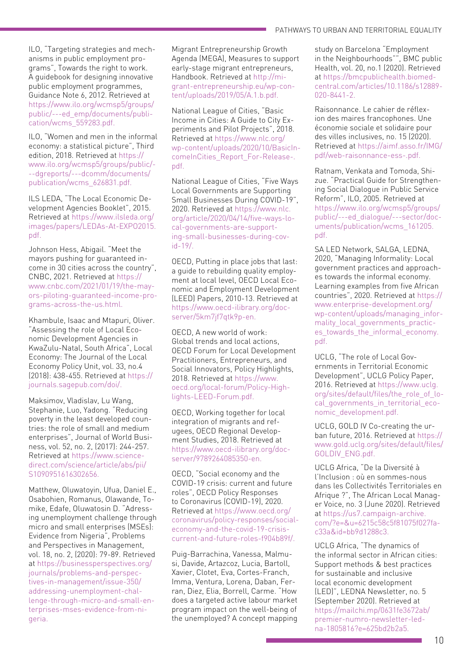ILO, "Targeting strategies and mechanisms in public employment programs", Towards the right to work. A guidebook for designing innovative public employment programmes, Guidance Note 6, 2012. Retrieved at [https://www.ilo.org/wcmsp5/groups/](https://www.ilo.org/wcmsp5/groups/public/---ed_emp/documents/publication/wcms_559283.pdf) [public/---ed\\_emp/documents/publi](https://www.ilo.org/wcmsp5/groups/public/---ed_emp/documents/publication/wcms_559283.pdf)[cation/wcms\\_559283.pdf.](https://www.ilo.org/wcmsp5/groups/public/---ed_emp/documents/publication/wcms_559283.pdf)

ILO, "Women and men in the informal economy: a statistical picture", Third edition, 2018. Retrieved at [https://](https://www.ilo.org/wcmsp5/groups/public/---dgreports/---dcomm/documents/publication/wcms_626831.pdf) [www.ilo.org/wcmsp5/groups/public/-](https://www.ilo.org/wcmsp5/groups/public/---dgreports/---dcomm/documents/publication/wcms_626831.pdf) [--dgreports/---dcomm/documents/](https://www.ilo.org/wcmsp5/groups/public/---dgreports/---dcomm/documents/publication/wcms_626831.pdf) [publication/wcms\\_626831.pdf.](https://www.ilo.org/wcmsp5/groups/public/---dgreports/---dcomm/documents/publication/wcms_626831.pdf)

ILS LEDA, "The Local Economic Development Agencies Booklet", 2015. Retrieved at [https://www.ilsleda.org/](https://www.ilsleda.org/images/papers/LEDAs-At-EXPO2015.pdf) [images/papers/LEDAs-At-EXPO2015.](https://www.ilsleda.org/images/papers/LEDAs-At-EXPO2015.pdf) [pdf.](https://www.ilsleda.org/images/papers/LEDAs-At-EXPO2015.pdf)

Johnson Hess, Abigail. "Meet the mayors pushing for guaranteed income in 30 cities across the country", CNBC, 2021. Retrieved at [https://](https://www.cnbc.com/2021/01/19/the-mayors-piloting-guaranteed-income-programs-across-the-us.html) [www.cnbc.com/2021/01/19/the-may](https://www.cnbc.com/2021/01/19/the-mayors-piloting-guaranteed-income-programs-across-the-us.html)[ors-piloting-guaranteed-income-pro](https://www.cnbc.com/2021/01/19/the-mayors-piloting-guaranteed-income-programs-across-the-us.html)[grams-across-the-us.html.](https://www.cnbc.com/2021/01/19/the-mayors-piloting-guaranteed-income-programs-across-the-us.html)

Khambule, Isaac and Mtapuri, Oliver. "Assessing the role of Local Economic Development Agencies in KwaZulu-Natal, South Africa", Local Economy: The Journal of the Local Economy Policy Unit, vol. 33, no.4 (2018): 438-455. Retrieved at [https://](https://journals.sagepub.com/doi/abs/10.1177/0269094218773933?journalCode=leca) [journals.sagepub.com/doi/.](https://journals.sagepub.com/doi/abs/10.1177/0269094218773933?journalCode=leca)

Maksimov, Vladislav, Lu Wang, Stephanie, Luo, Yadong. "Reducing poverty in the least developed countries: the role of small and medium enterprises", Journal of World Business, vol. 52, no. 2, (2017): 244-257. Retrieved at [https://www.science](https://www.sciencedirect.com/science/article/abs/pii/S1090951616302656)[direct.com/science/article/abs/pii/](https://www.sciencedirect.com/science/article/abs/pii/S1090951616302656) S1090951616302656.

Matthew, Oluwatoyin, Ufua, Daniel E., Osabohien, Romanus, Olawande, Tomike, Edafe, Oluwatosin D. "Adressing unemployment challenge through micro and small enterprises (MSEs): Evidence from Nigeria", Problems and Perspectives in Management, vol. 18, no. 2, (2020): 79-89. Retrieved at [https://businessperspectives.org/](https://businessperspectives.org/journals/problems-and-perspectives-in-management/issue-350/addressing-unemployment-challenge-through-micro-and-small-enterprises-mses-evidence-from-nigeria) [journals/problems-and-perspec](https://businessperspectives.org/journals/problems-and-perspectives-in-management/issue-350/addressing-unemployment-challenge-through-micro-and-small-enterprises-mses-evidence-from-nigeria)[tives-in-management/issue-350/](https://businessperspectives.org/journals/problems-and-perspectives-in-management/issue-350/addressing-unemployment-challenge-through-micro-and-small-enterprises-mses-evidence-from-nigeria) [addressing-unemployment-chal](https://businessperspectives.org/journals/problems-and-perspectives-in-management/issue-350/addressing-unemployment-challenge-through-micro-and-small-enterprises-mses-evidence-from-nigeria)[lenge-through-micro-and-small-en](https://businessperspectives.org/journals/problems-and-perspectives-in-management/issue-350/addressing-unemployment-challenge-through-micro-and-small-enterprises-mses-evidence-from-nigeria)[terprises-mses-evidence-from-ni](https://businessperspectives.org/journals/problems-and-perspectives-in-management/issue-350/addressing-unemployment-challenge-through-micro-and-small-enterprises-mses-evidence-from-nigeria)[geria.](https://businessperspectives.org/journals/problems-and-perspectives-in-management/issue-350/addressing-unemployment-challenge-through-micro-and-small-enterprises-mses-evidence-from-nigeria)

Migrant Entrepreneurship Growth Agenda (MEGA), Measures to support early-stage migrant entrepreneurs, Handbook. Retrieved at [http://mi](http://migrant-entrepreneurship.eu/wp-content/uploads/2019/05/A.1.b.pdf)[grant-entrepreneurship.eu/wp-con](http://migrant-entrepreneurship.eu/wp-content/uploads/2019/05/A.1.b.pdf)[tent/uploads/2019/05/A.1.b.pdf.](http://migrant-entrepreneurship.eu/wp-content/uploads/2019/05/A.1.b.pdf) 

National League of Cities, "Basic Income in Cities: A Guide to City Experiments and Pilot Projects", 2018. Retrieved at [https://www.nlc.org/](https://www.nlc.org/wp-content/uploads/2020/10/BasicIncomeInCities_Report_For-Release-.pdf) [wp-content/uploads/2020/10/BasicIn](https://www.nlc.org/wp-content/uploads/2020/10/BasicIncomeInCities_Report_For-Release-.pdf)[comeInCities\\_Report\\_For-Release-.](https://www.nlc.org/wp-content/uploads/2020/10/BasicIncomeInCities_Report_For-Release-.pdf) [pdf.](https://www.nlc.org/wp-content/uploads/2020/10/BasicIncomeInCities_Report_For-Release-.pdf) 

National League of Cities, "Five Ways Local Governments are Supporting Small Businesses During COVID-19", 2020. Retrieved at [https://www.nlc.](https://www.nlc.org/article/2020/04/14/five-ways-local-governments-are-supporting-small-businesses-during-covid-19/) [org/article/2020/04/14/five-ways-lo](https://www.nlc.org/article/2020/04/14/five-ways-local-governments-are-supporting-small-businesses-during-covid-19/)[cal-governments-are-support](https://www.nlc.org/article/2020/04/14/five-ways-local-governments-are-supporting-small-businesses-during-covid-19/)[ing-small-businesses-during-cov](https://www.nlc.org/article/2020/04/14/five-ways-local-governments-are-supporting-small-businesses-during-covid-19/)[id-19/.](https://www.nlc.org/article/2020/04/14/five-ways-local-governments-are-supporting-small-businesses-during-covid-19/)

OECD, Putting in place jobs that last: a guide to rebuilding quality employment at local level, OECD Local Economic and Employment Development (LEED) Papers, 2010-13. Retrieved at [https://www.oecd-ilibrary.org/doc](https://www.oecd-ilibrary.org/industry-and-services/putting-in-place-jobs-that-last_5km7jf7qtk9p-en)[server/5km7jf7qtk9p-en.](https://www.oecd-ilibrary.org/industry-and-services/putting-in-place-jobs-that-last_5km7jf7qtk9p-en)

OECD, A new world of work: Global trends and local actions, OECD Forum for Local Development Practitioners, Entrepreneurs, and Social Innovators, Policy Highlights, 2018. Retrieved at [https://www.](https://www.oecd.org/local-forum/Policy-Highlights-LEED-Forum.pdf) [oecd.org/local-forum/Policy-High](https://www.oecd.org/local-forum/Policy-Highlights-LEED-Forum.pdf)[lights-LEED-Forum.pdf.](https://www.oecd.org/local-forum/Policy-Highlights-LEED-Forum.pdf)

OECD, Working together for local integration of migrants and refugees, OECD Regional Development Studies, 2018. Retrieved at [https://www.oecd-ilibrary.org/doc](https://www.oecd-ilibrary.org/social-issues-migration-health/working-together-for-local-integration-of-migrants-and-refugees_9789264085350-en)[server/9789264085350-en.](https://www.oecd-ilibrary.org/social-issues-migration-health/working-together-for-local-integration-of-migrants-and-refugees_9789264085350-en) 

OECD, "Social economy and the COVID-19 crisis: current and future roles", OECD Policy Responses to Coronavirus (COVID-19), 2020. Retrieved at [https://www.oecd.org/](https://www.oecd.org/coronavirus/policy-responses/social-economy-and-the-covid-19-crisis-current-and-future-roles-f904b89f/) [coronavirus/policy-responses/social](https://www.oecd.org/coronavirus/policy-responses/social-economy-and-the-covid-19-crisis-current-and-future-roles-f904b89f/)[economy-and-the-covid-19-crisis](https://www.oecd.org/coronavirus/policy-responses/social-economy-and-the-covid-19-crisis-current-and-future-roles-f904b89f/)[current-and-future-roles-f904b89f/.](https://www.oecd.org/coronavirus/policy-responses/social-economy-and-the-covid-19-crisis-current-and-future-roles-f904b89f/) 

Puig-Barrachina, Vanessa, Malmusi, Davide, Artazcoz, Lucia, Bartoll, Xavier, Clotet, Eva, Cortes-Franch, Imma, Ventura, Lorena, Daban, Ferran, Diez, Elia, Borrell, Carme. "How does a targeted active labour market program impact on the well-being of the unemployed? A concept mapping

study on Barcelona "Employment in the Neighbourhoods"", BMC public Health, vol. 20, no.1 (2020). Retrieved at [https://bmcpublichealth.biomed](https://bmcpublichealth.biomedcentral.com/articles/10.1186/s12889-020-8441-2)[central.com/articles/10.1186/s12889-](https://bmcpublichealth.biomedcentral.com/articles/10.1186/s12889-020-8441-2) [020-8441-2.](https://bmcpublichealth.biomedcentral.com/articles/10.1186/s12889-020-8441-2)

Raisonnance. Le cahier de réflexion des maires francophones. Une économie sociale et solidaire pour des villes inclusives, no. 15 (2020). Retrieved at [https://aimf.asso.fr/IMG/](https://aimf.asso.fr/IMG/pdf/web-raisonnance-ess-.pdf) [pdf/web-raisonnance-ess-.pdf.](https://aimf.asso.fr/IMG/pdf/web-raisonnance-ess-.pdf)

Ratnam, Venkata and Tomoda, Shizue. "Practical Guide for Strengthening Social Dialogue in Public Service Reform", ILO, 2005. Retrieved at [https://www.ilo.org/wcmsp5/groups/](https://www.ilo.org/wcmsp5/groups/public/---ed_dialogue/---sector/documents/publication/wcms_161205.pdf) [public/---ed\\_dialogue/---sector/doc](https://www.ilo.org/wcmsp5/groups/public/---ed_dialogue/---sector/documents/publication/wcms_161205.pdf)[uments/publication/wcms\\_161205.](https://www.ilo.org/wcmsp5/groups/public/---ed_dialogue/---sector/documents/publication/wcms_161205.pdf) [pdf.](https://www.ilo.org/wcmsp5/groups/public/---ed_dialogue/---sector/documents/publication/wcms_161205.pdf)

SA LED Network, SALGA, LEDNA, 2020, "Managing Informality: Local government practices and approaches towards the informal economy. Learning examples from five African countries", 2020. Retrieved at [https://](https://www.enterprise-development.org/wp-content/uploads/managing_informality_local_governments_practices_towards_the_informal_economy.pdf) [www.enterprise-development.org/](https://www.enterprise-development.org/wp-content/uploads/managing_informality_local_governments_practices_towards_the_informal_economy.pdf) [wp-content/uploads/managing\\_infor](https://www.enterprise-development.org/wp-content/uploads/managing_informality_local_governments_practices_towards_the_informal_economy.pdf)[mality\\_local\\_governments\\_practic](https://www.enterprise-development.org/wp-content/uploads/managing_informality_local_governments_practices_towards_the_informal_economy.pdf)[es\\_towards\\_the\\_informal\\_economy.](https://www.enterprise-development.org/wp-content/uploads/managing_informality_local_governments_practices_towards_the_informal_economy.pdf) [pdf.](https://www.enterprise-development.org/wp-content/uploads/managing_informality_local_governments_practices_towards_the_informal_economy.pdf)

UCLG, "The role of Local Governments in Territorial Economic Development", UCLG Policy Paper, 2016. Retrieved at [https://www.uclg.](https://www.uclg.org/sites/default/files/the_role_of_local_governments_in_territorial_economic_development.pdf) [org/sites/default/files/the\\_role\\_of\\_lo](https://www.uclg.org/sites/default/files/the_role_of_local_governments_in_territorial_economic_development.pdf)cal governments in territorial eco[nomic\\_development.pdf.](https://www.uclg.org/sites/default/files/the_role_of_local_governments_in_territorial_economic_development.pdf)

UCLG, GOLD IV Co-creating the urban future, 2016. Retrieved at [https://](https://www.gold.uclg.org/sites/default/files/GOLDIV_ENG.pdf) [www.gold.uclg.org/sites/default/files/](https://www.gold.uclg.org/sites/default/files/GOLDIV_ENG.pdf) [GOLDIV\\_ENG.pdf.](https://www.gold.uclg.org/sites/default/files/GOLDIV_ENG.pdf)

UCLG Africa, "De la Diversité à l'Inclusion : où en sommes-nous dans les Collectivités Territoriales en Afrique ?", The African Local Manager Voice, no. 3 (June 2020). Retrieved at [https://us7.campaign-archive.](https://us7.campaign-archive.com/?e=&u=6215c58c5f81075f027fac33a&id=bb9d1288c3) [com/?e=&u=6215c58c5f81075f027fa](https://us7.campaign-archive.com/?e=&u=6215c58c5f81075f027fac33a&id=bb9d1288c3)[c33a&id=bb9d1288c3](https://us7.campaign-archive.com/?e=&u=6215c58c5f81075f027fac33a&id=bb9d1288c3).

UCLG Africa, "The dynamics of the informal sector in African cities: Support methods & best practices for sustainable and inclusive local economic development (LED)", LEDNA Newsletter, no. 5 (September 2020). Retrieved at [https://mailchi.mp/0631fe3672ab/](https://mailchi.mp/0631fe3672ab/premier-numro-newsletter-ledna-1805816?e=625bd2b2a5) [premier-numro-newsletter-led](https://mailchi.mp/0631fe3672ab/premier-numro-newsletter-ledna-1805816?e=625bd2b2a5)[na-1805816?e=625bd2b2a5.](https://mailchi.mp/0631fe3672ab/premier-numro-newsletter-ledna-1805816?e=625bd2b2a5)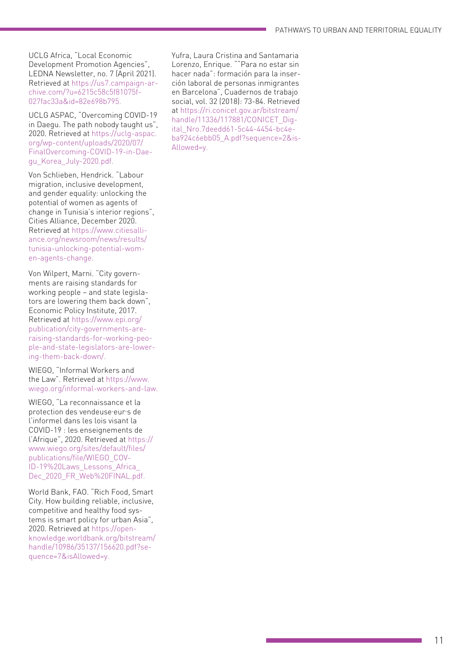UCLG Africa, "Local Economic Development Promotion Agencies", LEDNA Newsletter, no. 7 (April 2021). Retrieved at [https://us7.campaign-ar](https://us7.campaign-archive.com/?u=6215c58c5f81075f027fac33a&id=82e698b795) [chive.com/?u=6215c58c5f81075f](https://us7.campaign-archive.com/?u=6215c58c5f81075f027fac33a&id=82e698b795) - [027fac33a&id=82e698b795.](https://us7.campaign-archive.com/?u=6215c58c5f81075f027fac33a&id=82e698b795)

UCLG ASPAC, "Overcoming COVID-19 in Daegu. The path nobody taught us", 2020. Retrieved at [https://uclg-aspac.](https://uclg-aspac.org/wp-content/uploads/2020/07/FinalOvercoming-COVID-19-in-Daegu_Korea_July-2020.pdf) [org/wp-content/uploads/2020/07/](https://uclg-aspac.org/wp-content/uploads/2020/07/FinalOvercoming-COVID-19-in-Daegu_Korea_July-2020.pdf) [FinalOvercoming-COVID-19-in-Dae](https://uclg-aspac.org/wp-content/uploads/2020/07/FinalOvercoming-COVID-19-in-Daegu_Korea_July-2020.pdf) [gu\\_Korea\\_July-2020.pdf.](https://uclg-aspac.org/wp-content/uploads/2020/07/FinalOvercoming-COVID-19-in-Daegu_Korea_July-2020.pdf)

Von Schlieben, Hendrick. "Labour migration, inclusive development, and gender equality: unlocking the potential of women as agents of change in Tunisia's interior regions", Cities Alliance, December 2020. Retrieved at [https://www.citiesalli](https://www.citiesalliance.org/newsroom/news/results/tunisia-unlocking-potential-women-agents-change) [ance.org/newsroom/news/results/](https://www.citiesalliance.org/newsroom/news/results/tunisia-unlocking-potential-women-agents-change) [tunisia-unlocking-potential-wom](https://www.citiesalliance.org/newsroom/news/results/tunisia-unlocking-potential-women-agents-change) [en-agents-change.](https://www.citiesalliance.org/newsroom/news/results/tunisia-unlocking-potential-women-agents-change)

Von Wilpert, Marni. "City govern ments are raising standards for working people – and state legisla tors are lowering them back down", Economic Policy Institute, 2017. Retrieved at [https://www.epi.org/](https://www.epi.org/publication/city-governments-are-raising-standards-for-working-people-and-state-legislators-are-lowering-them-back-down/) [publication/city-governments-are](https://www.epi.org/publication/city-governments-are-raising-standards-for-working-people-and-state-legislators-are-lowering-them-back-down/)[raising-standards-for-working-peo](https://www.epi.org/publication/city-governments-are-raising-standards-for-working-people-and-state-legislators-are-lowering-them-back-down/) [ple-and-state-legislators-are-lower](https://www.epi.org/publication/city-governments-are-raising-standards-for-working-people-and-state-legislators-are-lowering-them-back-down/) [ing-them-back-down/.](https://www.epi.org/publication/city-governments-are-raising-standards-for-working-people-and-state-legislators-are-lowering-them-back-down/)

WIEGO, "Informal Workers and the Law". Retrieved at [https://www.](https://www.wiego.org/informal-workers-and-law) [wiego.org/informal-workers-and-law.](https://www.wiego.org/informal-workers-and-law)

WIEGO, "La reconnaissance et la protection des vendeuse eur s de l'informel dans les lois visant la COVID -19 : les enseignements de l'Afrique", 2020. Retrieved at [https://](https://www.wiego.org/sites/default/files/publications/file/WIEGO_COVID-19%20Laws_Lessons_Africa_Dec_2020_FR_Web%20FINAL.pdf) [www.wiego.org/sites/default/files/](https://www.wiego.org/sites/default/files/publications/file/WIEGO_COVID-19%20Laws_Lessons_Africa_Dec_2020_FR_Web%20FINAL.pdf) [publications/file/WIEGO\\_COV](https://www.wiego.org/sites/default/files/publications/file/WIEGO_COVID-19%20Laws_Lessons_Africa_Dec_2020_FR_Web%20FINAL.pdf) - [ID-19%20Laws\\_Lessons\\_Africa\\_](https://www.wiego.org/sites/default/files/publications/file/WIEGO_COVID-19%20Laws_Lessons_Africa_Dec_2020_FR_Web%20FINAL.pdf) Dec\_2020\_FR\_Web%20FINAL.pdf.

World Bank, FAO. "Rich Food, Smart City. How building reliable, inclusive, competitive and healthy food sys tems is smart policy for urban Asia", 2020. Retrieved at [https://open](https://openknowledge.worldbank.org/bitstream/handle/10986/35137/156620.pdf?sequence=7&isAllowed=y) [knowledge.worldbank.org/bitstream/](https://openknowledge.worldbank.org/bitstream/handle/10986/35137/156620.pdf?sequence=7&isAllowed=y) [handle/10986/35137/156620.pdf?se](https://openknowledge.worldbank.org/bitstream/handle/10986/35137/156620.pdf?sequence=7&isAllowed=y) [quence=7&isAllowed=y.](https://openknowledge.worldbank.org/bitstream/handle/10986/35137/156620.pdf?sequence=7&isAllowed=y)

Yufra, Laura Cristina and Santamaria Lorenzo, Enrique. ""Para no estar sin hacer nada": formación para la inser ción laboral de personas inmigrantes en Barcelona", Cuadernos de trabajo social, vol. 32 (2018): 73-84. Retrieved at [https://ri.conicet.gov.ar/bitstream/](https://ri.conicet.gov.ar/bitstream/handle/11336/117881/CONICET_Digital_Nro.7deedd61-5c44-4454-bc4e-ba924c6ebb05_A.pdf?sequence=2&isAllowed=y) [handle/11336/117881/CONICET\\_Dig](https://ri.conicet.gov.ar/bitstream/handle/11336/117881/CONICET_Digital_Nro.7deedd61-5c44-4454-bc4e-ba924c6ebb05_A.pdf?sequence=2&isAllowed=y) [ital\\_Nro.7deedd61-5c44-4454-bc4e](https://ri.conicet.gov.ar/bitstream/handle/11336/117881/CONICET_Digital_Nro.7deedd61-5c44-4454-bc4e-ba924c6ebb05_A.pdf?sequence=2&isAllowed=y)[ba924c6ebb05\\_A.pdf?sequence=2&is](https://ri.conicet.gov.ar/bitstream/handle/11336/117881/CONICET_Digital_Nro.7deedd61-5c44-4454-bc4e-ba924c6ebb05_A.pdf?sequence=2&isAllowed=y) - [Allowed=y.](https://ri.conicet.gov.ar/bitstream/handle/11336/117881/CONICET_Digital_Nro.7deedd61-5c44-4454-bc4e-ba924c6ebb05_A.pdf?sequence=2&isAllowed=y)